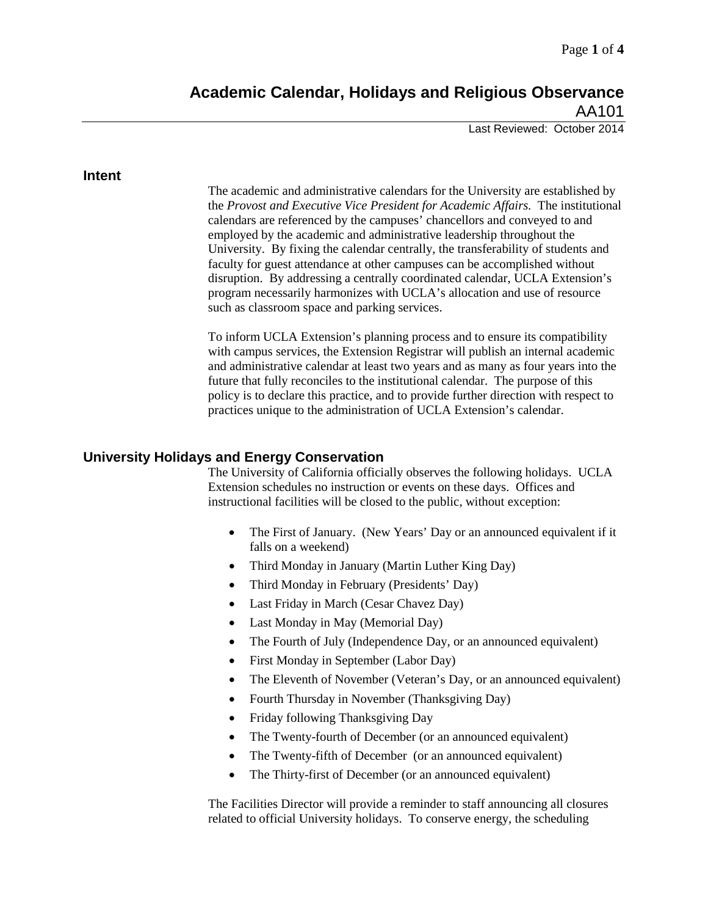# **Academic Calendar, Holidays and Religious Observance** AA101

Last Reviewed: October 2014

#### **Intent**

The academic and administrative calendars for the University are established by the *Provost and Executive Vice President for Academic Affairs.* The institutional calendars are referenced by the campuses' chancellors and conveyed to and employed by the academic and administrative leadership throughout the University. By fixing the calendar centrally, the transferability of students and faculty for guest attendance at other campuses can be accomplished without disruption. By addressing a centrally coordinated calendar, UCLA Extension's program necessarily harmonizes with UCLA's allocation and use of resource such as classroom space and parking services.

To inform UCLA Extension's planning process and to ensure its compatibility with campus services, the Extension Registrar will publish an internal academic and administrative calendar at least two years and as many as four years into the future that fully reconciles to the institutional calendar. The purpose of this policy is to declare this practice, and to provide further direction with respect to practices unique to the administration of UCLA Extension's calendar.

### **University Holidays and Energy Conservation**

The University of California officially observes the following holidays. UCLA Extension schedules no instruction or events on these days. Offices and instructional facilities will be closed to the public, without exception:

- The First of January. (New Years' Day or an announced equivalent if it falls on a weekend)
- Third Monday in January (Martin Luther King Day)
- Third Monday in February (Presidents' Day)
- Last Friday in March (Cesar Chavez Day)
- Last Monday in May (Memorial Day)
- The Fourth of July (Independence Day, or an announced equivalent)
- First Monday in September (Labor Day)
- The Eleventh of November (Veteran's Day, or an announced equivalent)
- Fourth Thursday in November (Thanksgiving Day)
- Friday following Thanksgiving Day
- The Twenty-fourth of December (or an announced equivalent)
- The Twenty-fifth of December (or an announced equivalent)
- The Thirty-first of December (or an announced equivalent)

The Facilities Director will provide a reminder to staff announcing all closures related to official University holidays. To conserve energy, the scheduling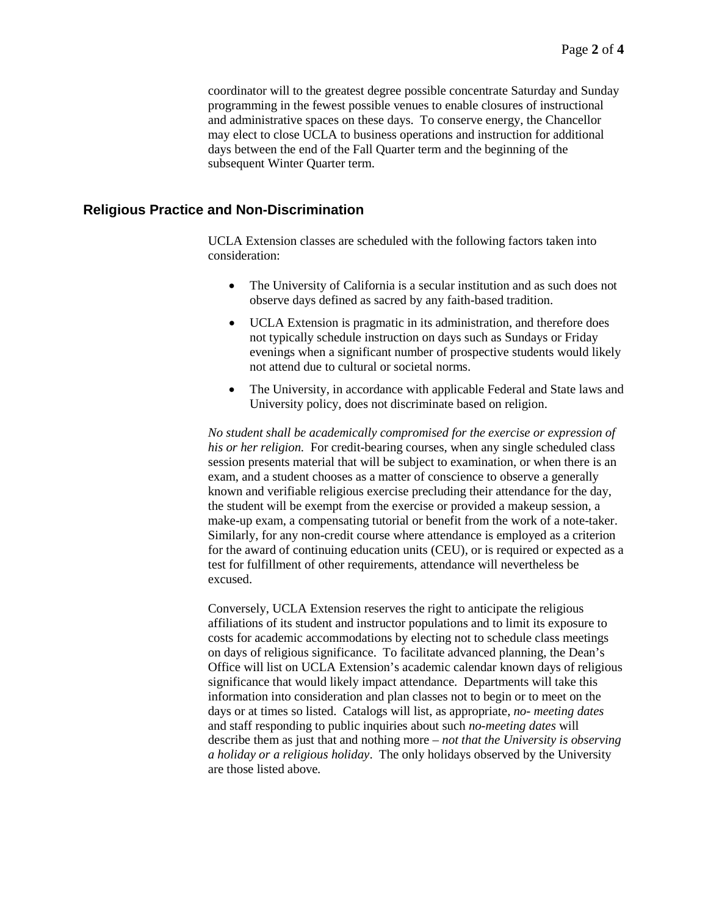coordinator will to the greatest degree possible concentrate Saturday and Sunday programming in the fewest possible venues to enable closures of instructional and administrative spaces on these days. To conserve energy, the Chancellor may elect to close UCLA to business operations and instruction for additional days between the end of the Fall Quarter term and the beginning of the subsequent Winter Quarter term.

### **Religious Practice and Non-Discrimination**

UCLA Extension classes are scheduled with the following factors taken into consideration:

- The University of California is a secular institution and as such does not observe days defined as sacred by any faith-based tradition.
- UCLA Extension is pragmatic in its administration, and therefore does not typically schedule instruction on days such as Sundays or Friday evenings when a significant number of prospective students would likely not attend due to cultural or societal norms.
- The University, in accordance with applicable Federal and State laws and University policy, does not discriminate based on religion.

*No student shall be academically compromised for the exercise or expression of his or her religion.* For credit-bearing courses, when any single scheduled class session presents material that will be subject to examination, or when there is an exam, and a student chooses as a matter of conscience to observe a generally known and verifiable religious exercise precluding their attendance for the day, the student will be exempt from the exercise or provided a makeup session, a make-up exam, a compensating tutorial or benefit from the work of a note-taker. Similarly, for any non-credit course where attendance is employed as a criterion for the award of continuing education units (CEU), or is required or expected as a test for fulfillment of other requirements, attendance will nevertheless be excused.

Conversely, UCLA Extension reserves the right to anticipate the religious affiliations of its student and instructor populations and to limit its exposure to costs for academic accommodations by electing not to schedule class meetings on days of religious significance. To facilitate advanced planning, the Dean's Office will list on UCLA Extension's academic calendar known days of religious significance that would likely impact attendance. Departments will take this information into consideration and plan classes not to begin or to meet on the days or at times so listed. Catalogs will list, as appropriate, *no- meeting dates*  and staff responding to public inquiries about such *no-meeting dates* will describe them as just that and nothing more – *not that the University is observing a holiday or a religious holiday*. The only holidays observed by the University are those listed above*.*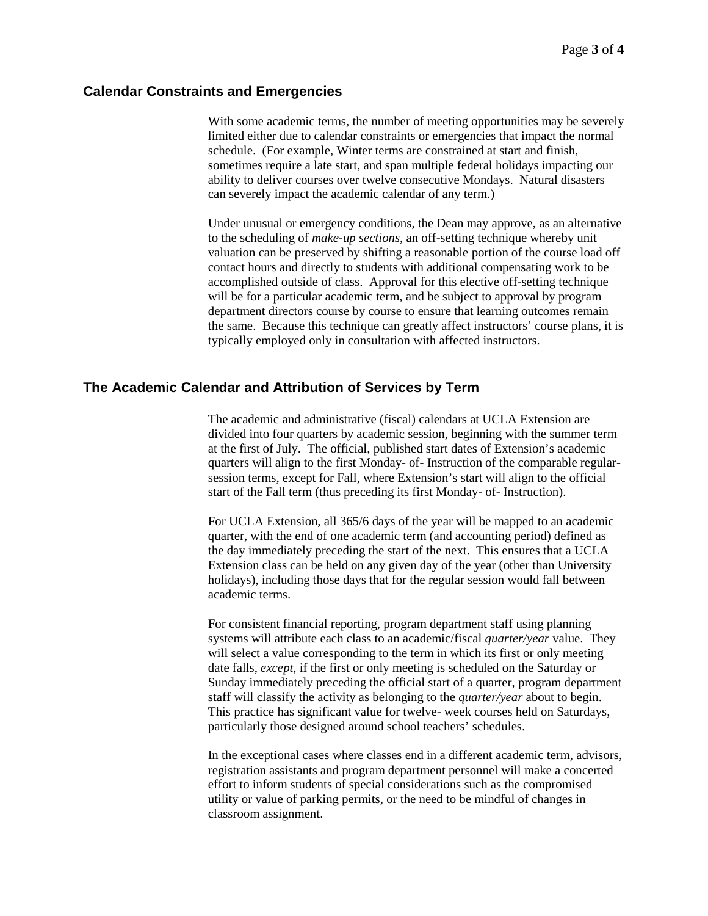#### **Calendar Constraints and Emergencies**

With some academic terms, the number of meeting opportunities may be severely limited either due to calendar constraints or emergencies that impact the normal schedule. (For example, Winter terms are constrained at start and finish, sometimes require a late start, and span multiple federal holidays impacting our ability to deliver courses over twelve consecutive Mondays. Natural disasters can severely impact the academic calendar of any term.)

Under unusual or emergency conditions, the Dean may approve, as an alternative to the scheduling of *make-up sections*, an off-setting technique whereby unit valuation can be preserved by shifting a reasonable portion of the course load off contact hours and directly to students with additional compensating work to be accomplished outside of class. Approval for this elective off-setting technique will be for a particular academic term, and be subject to approval by program department directors course by course to ensure that learning outcomes remain the same. Because this technique can greatly affect instructors' course plans, it is typically employed only in consultation with affected instructors.

### **The Academic Calendar and Attribution of Services by Term**

The academic and administrative (fiscal) calendars at UCLA Extension are divided into four quarters by academic session, beginning with the summer term at the first of July. The official, published start dates of Extension's academic quarters will align to the first Monday- of- Instruction of the comparable regularsession terms, except for Fall, where Extension's start will align to the official start of the Fall term (thus preceding its first Monday- of- Instruction).

For UCLA Extension, all 365/6 days of the year will be mapped to an academic quarter, with the end of one academic term (and accounting period) defined as the day immediately preceding the start of the next. This ensures that a UCLA Extension class can be held on any given day of the year (other than University holidays), including those days that for the regular session would fall between academic terms.

For consistent financial reporting, program department staff using planning systems will attribute each class to an academic/fiscal *quarter/year* value. They will select a value corresponding to the term in which its first or only meeting date falls, *except*, if the first or only meeting is scheduled on the Saturday or Sunday immediately preceding the official start of a quarter, program department staff will classify the activity as belonging to the *quarter/year* about to begin. This practice has significant value for twelve- week courses held on Saturdays, particularly those designed around school teachers' schedules.

In the exceptional cases where classes end in a different academic term, advisors, registration assistants and program department personnel will make a concerted effort to inform students of special considerations such as the compromised utility or value of parking permits, or the need to be mindful of changes in classroom assignment.